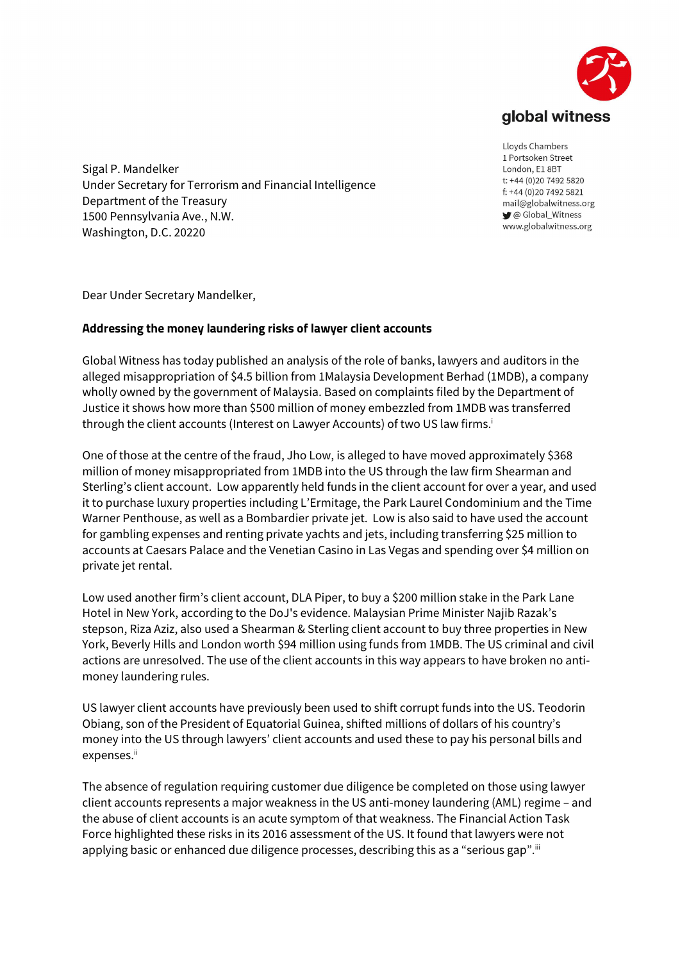

Sigal P. Mandelker Under Secretary for Terrorism and Financial Intelligence Department of the Treasury 1500 Pennsylvania Ave., N.W. Washington, D.C. 20220

Lloyds Chambers 1 Portsoken Street London, E1 8BT t: +44 (0)20 7492 5820 f: +44 (0)20 7492 5821 mail@globalwitness.org C Global\_Witness www.globalwitness.org

Dear Under Secretary Mandelker,

## Addressing the money laundering risks of lawyer client accounts

Global Witness has today published an analysis of the role of banks, lawyers and auditors in the alleged misappropriation of \$4.5 billion from 1Malaysia Development Berhad (1MDB), a company wholly owned by the government of Malaysia. Based on complaints filed by the Department of Justice it shows how more than \$500 million of money embezzled from 1MDB was transferred through the client accounts (Interest on Lawyer Accounts) of two US law firms.<sup>i</sup>

One of those at the centre of the fraud, Jho Low, is alleged to have moved approximately \$368 million of money misappropriated from 1MDB into the US through the law firm Shearman and Sterling's client account. Low apparently held funds in the client account for over a year, and used it to purchase luxury properties including L'Ermitage, the Park Laurel Condominium and the Time Warner Penthouse, as well as a Bombardier private jet. Low is also said to have used the account for gambling expenses and renting private yachts and jets, including transferring \$25 million to accounts at Caesars Palace and the Venetian Casino in Las Vegas and spending over \$4 million on private jet rental.

Low used another firm's client account, DLA Piper, to buy a \$200 million stake in the Park Lane Hotel in New York, according to the DoJ's evidence. Malaysian Prime Minister Najib Razak's stepson, Riza Aziz, also used a Shearman & Sterling client account to buy three properties in New York, Beverly Hills and London worth \$94 million using funds from 1MDB. The US criminal and civil actions are unresolved. The use of the client accounts in this way appears to have broken no antimoney laundering rules.

US lawyer client accounts have previously been used to shift corrupt funds into the US. Teodorin Obiang, son of the President of Equatorial Guinea, shifted millions of dollars of his country's money into the US through lawyers' client accounts and used these to pay his personal bills and expenses.<sup>ii</sup>

The absence of regulation requiring customer due diligence be completed on those using lawyer client accounts represents a major weakness in the US anti-money laundering (AML) regime – and the abuse of client accounts is an acute symptom of that weakness. The Financial Action Task Force highlighted these risks in its 2016 assessment of the US. It found that lawyers were not applying basic or enhanced due diligence processes, describing this as a "serious gap".<sup>ii</sup>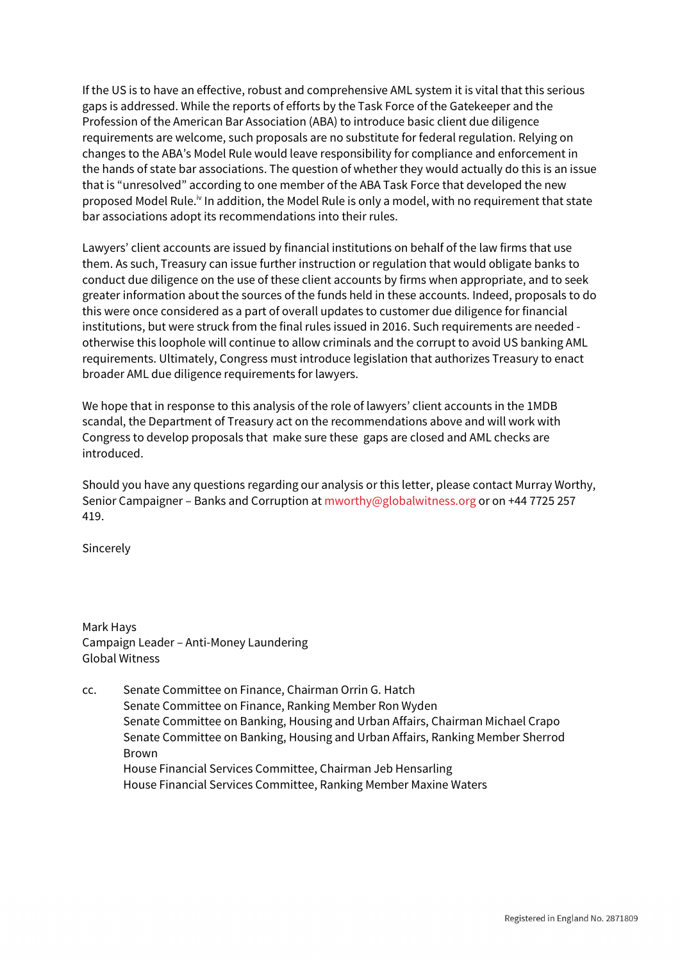If the US is to have an effective, robust and comprehensive AML system it is vital that this serious gaps is addressed. While the reports of efforts by the Task Force of the Gatekeeper and the Profession of the American Bar Association (ABA) to introduce basic client due diligence requirements are welcome, such proposals are no substitute for federal regulation. Relying on changes to the ABA's Model Rule would leave responsibility for compliance and enforcement in the hands of state bar associations. The question of whether they would actually do this is an issue that is "unresolved" according to one member of the ABA Task Force that developed the new proposed Model Rule.<sup>iv</sup> In addition, the Model Rule is only a model, with no requirement that state bar associations adopt its recommendations into their rules.

Lawyers' client accounts are issued by financial institutions on behalf of the law firms that use them. As such, Treasury can issue further instruction or regulation that would obligate banks to conduct due diligence on the use of these client accounts by firms when appropriate, and to seek greater information about the sources of the funds held in these accounts. Indeed, proposals to do this were once considered as a part of overall updates to customer due diligence for financial institutions, but were struck from the final rules issued in 2016. Such requirements are needed otherwise this loophole will continue to allow criminals and the corrupt to avoid US banking AML requirements. Ultimately, Congress must introduce legislation that authorizes Treasury to enact broader AML due diligence requirements for lawyers.

We hope that in response to this analysis of the role of lawyers' client accounts in the 1MDB scandal, the Department of Treasury act on the recommendations above and will work with Congress to develop proposals that make sure these gaps are closed and AML checks are introduced.

Should you have any questions regarding our analysis or this letter, please contact Murray Worthy, Senior Campaigner – Banks and Corruption at mworthy@globalwitness.org or on +44 7725 257 419.

Sincerely

Mark Hays Campaign Leader – Anti-Money Laundering Global Witness

cc. Senate Committee on Finance, Chairman Orrin G. Hatch Senate Committee on Finance, Ranking Member Ron Wyden Senate Committee on Banking, Housing and Urban Affairs, Chairman Michael Crapo Senate Committee on Banking, Housing and Urban Affairs, Ranking Member Sherrod Brown House Financial Services Committee, Chairman Jeb Hensarling House Financial Services Committee, Ranking Member Maxine Waters